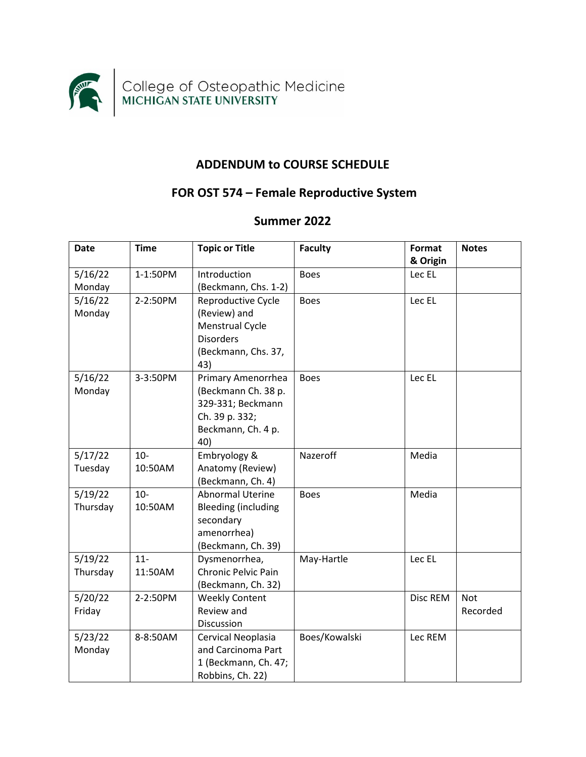

## **ADDENDUM to COURSE SCHEDULE**

## **FOR OST 574 – Female Reproductive System**

## **Summer 2022**

| <b>Date</b> | <b>Time</b> | <b>Topic or Title</b>      | <b>Faculty</b> | Format   | <b>Notes</b> |
|-------------|-------------|----------------------------|----------------|----------|--------------|
|             |             |                            |                | & Origin |              |
| 5/16/22     | 1-1:50PM    | Introduction               | <b>Boes</b>    | Lec EL   |              |
| Monday      |             | (Beckmann, Chs. 1-2)       |                |          |              |
| 5/16/22     | 2-2:50PM    | Reproductive Cycle         | <b>Boes</b>    | Lec EL   |              |
| Monday      |             | (Review) and               |                |          |              |
|             |             | Menstrual Cycle            |                |          |              |
|             |             | <b>Disorders</b>           |                |          |              |
|             |             | (Beckmann, Chs. 37,        |                |          |              |
|             |             | 43)                        |                |          |              |
| 5/16/22     | 3-3:50PM    | Primary Amenorrhea         | <b>Boes</b>    | Lec EL   |              |
| Monday      |             | (Beckmann Ch. 38 p.        |                |          |              |
|             |             | 329-331; Beckmann          |                |          |              |
|             |             | Ch. 39 p. 332;             |                |          |              |
|             |             | Beckmann, Ch. 4 p.         |                |          |              |
|             |             | 40)                        |                |          |              |
| 5/17/22     | $10 -$      | Embryology &               | Nazeroff       | Media    |              |
| Tuesday     | 10:50AM     | Anatomy (Review)           |                |          |              |
|             |             | (Beckmann, Ch. 4)          |                |          |              |
| 5/19/22     | $10-$       | <b>Abnormal Uterine</b>    | <b>Boes</b>    | Media    |              |
| Thursday    | 10:50AM     | <b>Bleeding (including</b> |                |          |              |
|             |             | secondary                  |                |          |              |
|             |             | amenorrhea)                |                |          |              |
|             |             | (Beckmann, Ch. 39)         |                |          |              |
| 5/19/22     | $11-$       | Dysmenorrhea,              | May-Hartle     | Lec EL   |              |
| Thursday    | 11:50AM     | Chronic Pelvic Pain        |                |          |              |
|             |             | (Beckmann, Ch. 32)         |                |          |              |
| 5/20/22     | 2-2:50PM    | <b>Weekly Content</b>      |                | Disc REM | <b>Not</b>   |
| Friday      |             | Review and                 |                |          | Recorded     |
|             |             | Discussion                 |                |          |              |
| 5/23/22     | 8-8:50AM    | Cervical Neoplasia         | Boes/Kowalski  | Lec REM  |              |
| Monday      |             | and Carcinoma Part         |                |          |              |
|             |             | 1 (Beckmann, Ch. 47;       |                |          |              |
|             |             | Robbins, Ch. 22)           |                |          |              |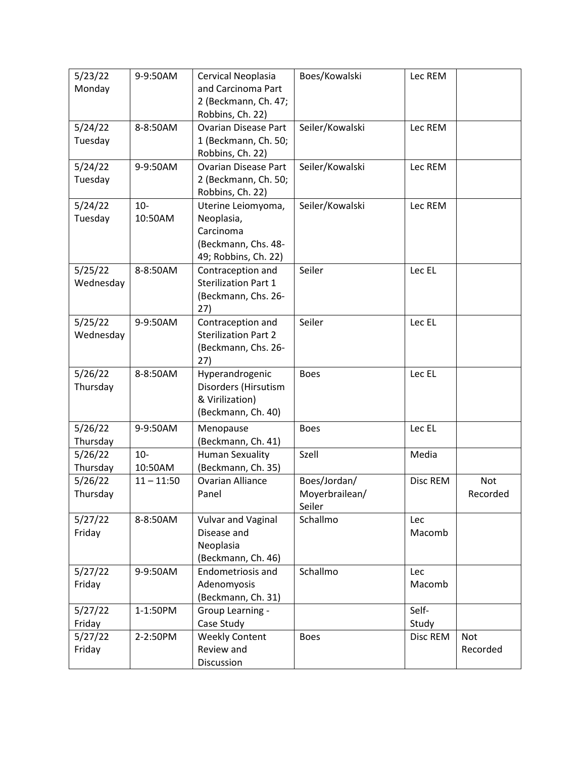| 5/23/22   | 9-9:50AM     | Cervical Neoplasia          | Boes/Kowalski   | Lec REM  |          |
|-----------|--------------|-----------------------------|-----------------|----------|----------|
| Monday    |              | and Carcinoma Part          |                 |          |          |
|           |              | 2 (Beckmann, Ch. 47;        |                 |          |          |
|           |              | Robbins, Ch. 22)            |                 |          |          |
| 5/24/22   | 8-8:50AM     | <b>Ovarian Disease Part</b> | Seiler/Kowalski | Lec REM  |          |
| Tuesday   |              | 1 (Beckmann, Ch. 50;        |                 |          |          |
|           |              | Robbins, Ch. 22)            |                 |          |          |
| 5/24/22   | 9-9:50AM     | <b>Ovarian Disease Part</b> | Seiler/Kowalski | Lec REM  |          |
| Tuesday   |              | 2 (Beckmann, Ch. 50;        |                 |          |          |
|           |              | Robbins, Ch. 22)            |                 |          |          |
| 5/24/22   | $10-$        | Uterine Leiomyoma,          | Seiler/Kowalski | Lec REM  |          |
| Tuesday   | 10:50AM      | Neoplasia,                  |                 |          |          |
|           |              | Carcinoma                   |                 |          |          |
|           |              | (Beckmann, Chs. 48-         |                 |          |          |
|           |              | 49; Robbins, Ch. 22)        |                 |          |          |
| 5/25/22   | 8-8:50AM     | Contraception and           | Seiler          | Lec EL   |          |
| Wednesday |              | <b>Sterilization Part 1</b> |                 |          |          |
|           |              | (Beckmann, Chs. 26-         |                 |          |          |
|           |              | 27)                         |                 |          |          |
| 5/25/22   | 9-9:50AM     | Contraception and           | Seiler          | Lec EL   |          |
| Wednesday |              | <b>Sterilization Part 2</b> |                 |          |          |
|           |              | (Beckmann, Chs. 26-         |                 |          |          |
|           |              | 27)                         |                 |          |          |
| 5/26/22   | 8-8:50AM     | Hyperandrogenic             | <b>Boes</b>     | Lec EL   |          |
| Thursday  |              | Disorders (Hirsutism        |                 |          |          |
|           |              | & Virilization)             |                 |          |          |
|           |              | (Beckmann, Ch. 40)          |                 |          |          |
| 5/26/22   | 9-9:50AM     | Menopause                   | <b>Boes</b>     | Lec EL   |          |
| Thursday  |              | (Beckmann, Ch. 41)          |                 |          |          |
| 5/26/22   | $10-$        | <b>Human Sexuality</b>      | Szell           | Media    |          |
| Thursday  | 10:50AM      | (Beckmann, Ch. 35)          |                 |          |          |
| 5/26/22   | $11 - 11:50$ | <b>Ovarian Alliance</b>     | Boes/Jordan/    | Disc REM | Not      |
| Thursday  |              | Panel                       | Moyerbrailean/  |          | Recorded |
|           |              |                             | Seiler          |          |          |
| 5/27/22   | 8-8:50AM     | Vulvar and Vaginal          | Schallmo        | Lec      |          |
| Friday    |              | Disease and                 |                 | Macomb   |          |
|           |              | Neoplasia                   |                 |          |          |
|           |              | (Beckmann, Ch. 46)          |                 |          |          |
| 5/27/22   | 9-9:50AM     | Endometriosis and           | Schallmo        | Lec      |          |
| Friday    |              | Adenomyosis                 |                 | Macomb   |          |
|           |              | (Beckmann, Ch. 31)          |                 |          |          |
| 5/27/22   | 1-1:50PM     | Group Learning -            |                 | Self-    |          |
| Friday    |              | Case Study                  |                 | Study    |          |
| 5/27/22   | 2-2:50PM     | <b>Weekly Content</b>       | <b>Boes</b>     | Disc REM | Not      |
| Friday    |              | Review and                  |                 |          | Recorded |
|           |              | Discussion                  |                 |          |          |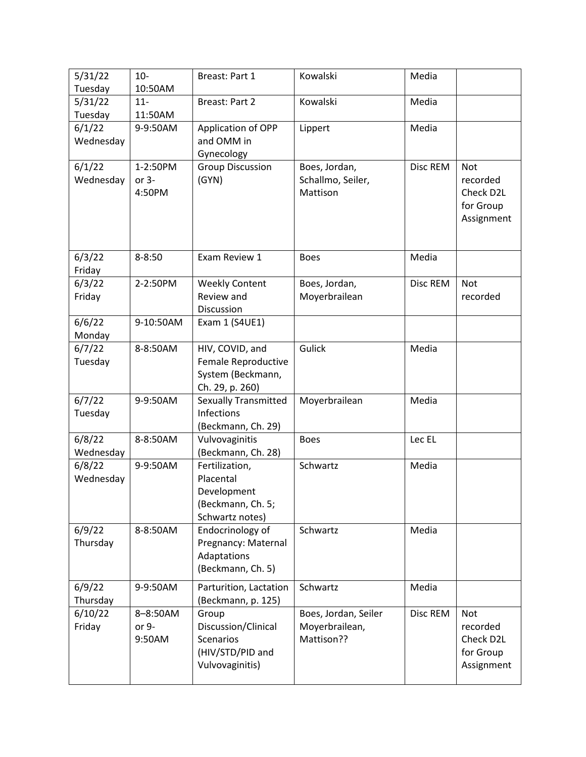| 5/31/22<br>Tuesday  | $10-$<br>10:50AM              | Breast: Part 1                                                                          | Kowalski                                             | Media    |                                                                |
|---------------------|-------------------------------|-----------------------------------------------------------------------------------------|------------------------------------------------------|----------|----------------------------------------------------------------|
| 5/31/22             | $11-$                         | Breast: Part 2                                                                          | Kowalski                                             | Media    |                                                                |
| Tuesday             | 11:50AM                       |                                                                                         |                                                      |          |                                                                |
| 6/1/22<br>Wednesday | 9-9:50AM                      | Application of OPP<br>and OMM in<br>Gynecology                                          | Lippert                                              | Media    |                                                                |
| 6/1/22<br>Wednesday | 1-2:50PM<br>or $3-$<br>4:50PM | <b>Group Discussion</b><br>(GYN)                                                        | Boes, Jordan,<br>Schallmo, Seiler,<br>Mattison       | Disc REM | Not<br>recorded<br>Check D2L<br>for Group<br>Assignment        |
| 6/3/22<br>Friday    | $8 - 8:50$                    | Exam Review 1                                                                           | <b>Boes</b>                                          | Media    |                                                                |
| 6/3/22<br>Friday    | 2-2:50PM                      | <b>Weekly Content</b><br>Review and<br>Discussion                                       | Boes, Jordan,<br>Moyerbrailean                       | Disc REM | <b>Not</b><br>recorded                                         |
| 6/6/22<br>Monday    | 9-10:50AM                     | Exam 1 (S4UE1)                                                                          |                                                      |          |                                                                |
| 6/7/22<br>Tuesday   | 8-8:50AM                      | HIV, COVID, and<br>Female Reproductive<br>System (Beckmann,<br>Ch. 29, p. 260)          | Gulick                                               | Media    |                                                                |
| 6/7/22<br>Tuesday   | 9-9:50AM                      | <b>Sexually Transmitted</b><br>Infections<br>(Beckmann, Ch. 29)                         | Moyerbrailean                                        | Media    |                                                                |
| 6/8/22<br>Wednesday | 8-8:50AM                      | Vulvovaginitis<br>(Beckmann, Ch. 28)                                                    | <b>Boes</b>                                          | Lec EL   |                                                                |
| 6/8/22<br>Wednesday | 9-9:50AM                      | Fertilization,<br>Placental<br>Development<br>(Beckmann, Ch. 5;<br>Schwartz notes)      | Schwartz                                             | Media    |                                                                |
| 6/9/22<br>Thursday  | 8-8:50AM                      | Endocrinology of<br>Pregnancy: Maternal<br>Adaptations<br>(Beckmann, Ch. 5)             | Schwartz                                             | Media    |                                                                |
| 6/9/22<br>Thursday  | 9-9:50AM                      | Parturition, Lactation<br>(Beckmann, p. 125)                                            | Schwartz                                             | Media    |                                                                |
| 6/10/22<br>Friday   | 8-8:50AM<br>or 9-<br>9:50AM   | Group<br>Discussion/Clinical<br><b>Scenarios</b><br>(HIV/STD/PID and<br>Vulvovaginitis) | Boes, Jordan, Seiler<br>Moyerbrailean,<br>Mattison?? | Disc REM | <b>Not</b><br>recorded<br>Check D2L<br>for Group<br>Assignment |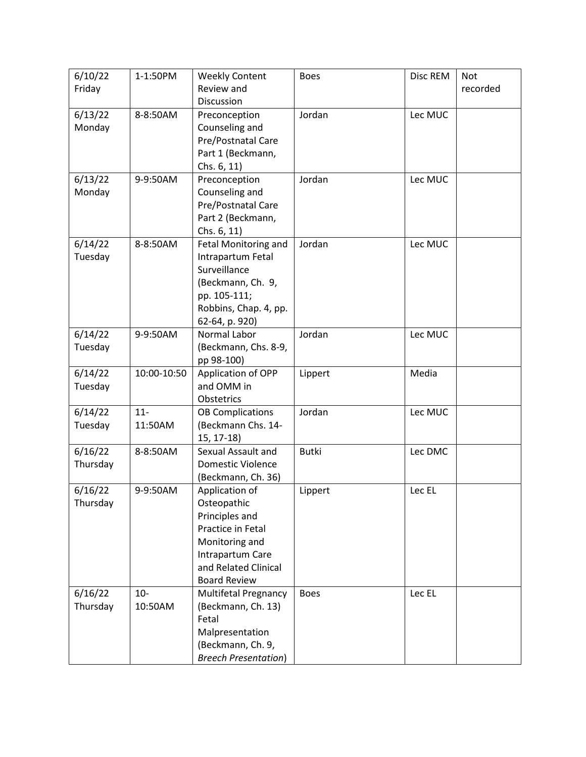| 6/10/22  | 1-1:50PM    | <b>Weekly Content</b>              | <b>Boes</b>  | Disc REM | <b>Not</b> |
|----------|-------------|------------------------------------|--------------|----------|------------|
| Friday   |             | Review and                         |              |          | recorded   |
|          |             | Discussion                         |              |          |            |
| 6/13/22  | 8-8:50AM    | Preconception                      | Jordan       | Lec MUC  |            |
| Monday   |             | Counseling and                     |              |          |            |
|          |             | Pre/Postnatal Care                 |              |          |            |
|          |             | Part 1 (Beckmann,                  |              |          |            |
| 6/13/22  | 9-9:50AM    | Chs. 6, 11)<br>Preconception       | Jordan       | Lec MUC  |            |
| Monday   |             | Counseling and                     |              |          |            |
|          |             | Pre/Postnatal Care                 |              |          |            |
|          |             | Part 2 (Beckmann,                  |              |          |            |
|          |             | Chs. 6, 11)                        |              |          |            |
| 6/14/22  | 8-8:50AM    | Fetal Monitoring and               | Jordan       | Lec MUC  |            |
| Tuesday  |             | Intrapartum Fetal                  |              |          |            |
|          |             | Surveillance                       |              |          |            |
|          |             | (Beckmann, Ch. 9,                  |              |          |            |
|          |             | pp. 105-111;                       |              |          |            |
|          |             | Robbins, Chap. 4, pp.              |              |          |            |
|          |             | 62-64, p. 920)                     |              |          |            |
| 6/14/22  | 9-9:50AM    | Normal Labor                       | Jordan       | Lec MUC  |            |
| Tuesday  |             | (Beckmann, Chs. 8-9,<br>pp 98-100) |              |          |            |
| 6/14/22  | 10:00-10:50 | Application of OPP                 | Lippert      | Media    |            |
| Tuesday  |             | and OMM in                         |              |          |            |
|          |             | Obstetrics                         |              |          |            |
| 6/14/22  | $11-$       | <b>OB Complications</b>            | Jordan       | Lec MUC  |            |
| Tuesday  | 11:50AM     | (Beckmann Chs. 14-                 |              |          |            |
|          |             | $15, 17-18$                        |              |          |            |
| 6/16/22  | 8-8:50AM    | Sexual Assault and                 | <b>Butki</b> | Lec DMC  |            |
| Thursday |             | <b>Domestic Violence</b>           |              |          |            |
|          |             | (Beckmann, Ch. 36)                 |              |          |            |
| 6/16/22  | 9-9:50AM    | Application of                     | Lippert      | Lec EL   |            |
| Thursday |             | Osteopathic<br>Principles and      |              |          |            |
|          |             | Practice in Fetal                  |              |          |            |
|          |             | Monitoring and                     |              |          |            |
|          |             | Intrapartum Care                   |              |          |            |
|          |             | and Related Clinical               |              |          |            |
|          |             | <b>Board Review</b>                |              |          |            |
| 6/16/22  | $10-$       | <b>Multifetal Pregnancy</b>        | <b>Boes</b>  | Lec EL   |            |
| Thursday | 10:50AM     | (Beckmann, Ch. 13)                 |              |          |            |
|          |             | Fetal                              |              |          |            |
|          |             | Malpresentation                    |              |          |            |
|          |             | (Beckmann, Ch. 9,                  |              |          |            |
|          |             | <b>Breech Presentation)</b>        |              |          |            |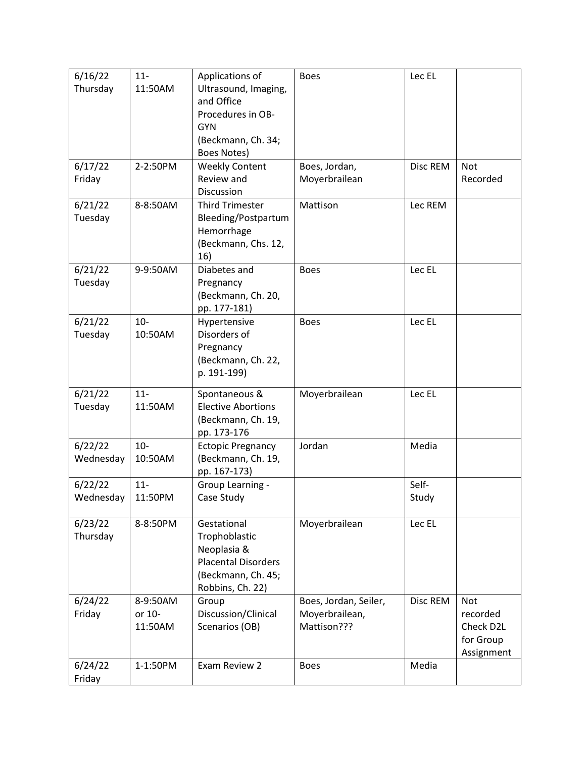| 6/16/22              | $11-$            | Applications of                    | <b>Boes</b>           | Lec EL   |                         |
|----------------------|------------------|------------------------------------|-----------------------|----------|-------------------------|
| Thursday             | 11:50AM          | Ultrasound, Imaging,<br>and Office |                       |          |                         |
|                      |                  | Procedures in OB-                  |                       |          |                         |
|                      |                  | <b>GYN</b>                         |                       |          |                         |
|                      |                  | (Beckmann, Ch. 34;                 |                       |          |                         |
|                      |                  | Boes Notes)                        |                       |          |                         |
| 6/17/22              | 2-2:50PM         | <b>Weekly Content</b>              | Boes, Jordan,         | Disc REM | <b>Not</b>              |
| Friday               |                  | Review and                         | Moyerbrailean         |          | Recorded                |
|                      |                  | Discussion                         |                       |          |                         |
| 6/21/22              | 8-8:50AM         | <b>Third Trimester</b>             | Mattison              | Lec REM  |                         |
| Tuesday              |                  | Bleeding/Postpartum                |                       |          |                         |
|                      |                  | Hemorrhage                         |                       |          |                         |
|                      |                  | (Beckmann, Chs. 12,                |                       |          |                         |
|                      |                  | 16)                                |                       |          |                         |
| 6/21/22              | 9-9:50AM         | Diabetes and                       | <b>Boes</b>           | Lec EL   |                         |
| Tuesday              |                  | Pregnancy<br>(Beckmann, Ch. 20,    |                       |          |                         |
|                      |                  | pp. 177-181)                       |                       |          |                         |
| 6/21/22              | $10-$            | Hypertensive                       | <b>Boes</b>           | Lec EL   |                         |
| Tuesday              | 10:50AM          | Disorders of                       |                       |          |                         |
|                      |                  | Pregnancy                          |                       |          |                         |
|                      |                  | (Beckmann, Ch. 22,                 |                       |          |                         |
|                      |                  | p. 191-199)                        |                       |          |                         |
| 6/21/22              | $11-$            | Spontaneous &                      | Moyerbrailean         | Lec EL   |                         |
| Tuesday              | 11:50AM          | <b>Elective Abortions</b>          |                       |          |                         |
|                      |                  | (Beckmann, Ch. 19,                 |                       |          |                         |
|                      |                  | pp. 173-176                        |                       |          |                         |
| 6/22/22              | $10-$            | <b>Ectopic Pregnancy</b>           | Jordan                | Media    |                         |
| Wednesday            | 10:50AM          | (Beckmann, Ch. 19,                 |                       |          |                         |
|                      |                  | pp. 167-173)                       |                       |          |                         |
| 6/22/22<br>Wednesday | $11-$<br>11:50PM | Group Learning -<br>Case Study     |                       | Self-    |                         |
|                      |                  |                                    |                       | Study    |                         |
| 6/23/22              | 8-8:50PM         | Gestational                        | Moyerbrailean         | Lec EL   |                         |
| Thursday             |                  | Trophoblastic                      |                       |          |                         |
|                      |                  | Neoplasia &                        |                       |          |                         |
|                      |                  | <b>Placental Disorders</b>         |                       |          |                         |
|                      |                  | (Beckmann, Ch. 45;                 |                       |          |                         |
|                      |                  | Robbins, Ch. 22)                   |                       |          |                         |
| 6/24/22              | 8-9:50AM         | Group                              | Boes, Jordan, Seiler, | Disc REM | <b>Not</b>              |
| Friday               | or 10-           | Discussion/Clinical                | Moyerbrailean,        |          | recorded                |
|                      | 11:50AM          | Scenarios (OB)                     | Mattison???           |          | Check D2L               |
|                      |                  |                                    |                       |          | for Group<br>Assignment |
| 6/24/22              | 1-1:50PM         | Exam Review 2                      | <b>Boes</b>           | Media    |                         |
| Friday               |                  |                                    |                       |          |                         |